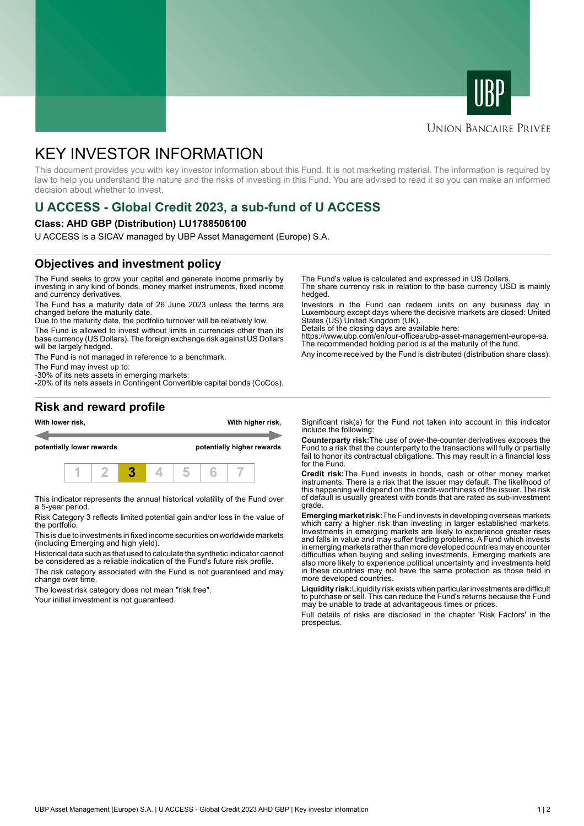



#### **UNION BANCAIRE PRIVÉE**

# KEY INVESTOR INFORMATION

This document provides you with key investor information about this Fund. It is not marketing material. The information is required by law to help you understand the nature and the risks of investing in this Fund. You are advised to read it so you can make an informed decision about whether to invest.

## **U ACCESS - Global Credit 2023, a sub-fund of U ACCESS**

#### **Class: AHD GBP (Distribution) LU1788506100**

U ACCESS is a SICAV managed by UBP Asset Management (Europe) S.A.

#### **Objectives and investment policy**

The Fund seeks to grow your capital and generate income primarily by investing in any kind of bonds, money market instruments, fixed income and currency derivatives.

The Fund has a maturity date of 26 June 2023 unless the terms are changed before the maturity date.

Due to the maturity date, the portfolio turnover will be relatively low.

The Fund is allowed to invest without limits in currencies other than its base currency (US Dollars). The foreign exchange risk against US Dollars will be largely hedged.

The Fund is not managed in reference to a benchmark.

The Fund may invest up to:

-30% of its nets assets in emerging markets; -20% of its nets assets in Contingent Convertible capital bonds (CoCos). The Fund's value is calculated and expressed in US Dollars.

The share currency risk in relation to the base currency USD is mainly hedged.

Investors in the Fund can redeem units on any business day in Luxembourg except days where the decisive markets are closed: United States (US),United Kingdom (UK).

Details of the closing days are available here:

https://www.ubp.com/en/our-offices/ubp-asset-management-europe-sa. The recommended holding period is at the maturity of the fund.

Any income received by the Fund is distributed (distribution share class).

#### **Risk and reward profile**



This indicator represents the annual historical volatility of the Fund over a 5-year period.

Risk Category 3 reflects limited potential gain and/or loss in the value of the portfolio.

This is due to investments in fixed income securities on worldwide markets (including Emerging and high yield).

Historical data such as that used to calculate the synthetic indicator cannot be considered as a reliable indication of the Fund's future risk profile.

The risk category associated with the Fund is not guaranteed and may change over time.

The lowest risk category does not mean "risk free".

Your initial investment is not guaranteed.

Significant risk(s) for the Fund not taken into account in this indicator include the following:

**Counterparty risk:**The use of over-the-counter derivatives exposes the Fund to a risk that the counterparty to the transactions will fully or partially fail to honor its contractual obligations. This may result in a financial loss for the Fund.

**Credit risk:**The Fund invests in bonds, cash or other money market instruments. There is a risk that the issuer may default. The likelihood of this happening will depend on the credit-worthiness of the issuer. The risk of default is usually greatest with bonds that are rated as sub-investment grade.

**Emerging market risk:**The Fund invests in developing overseas markets which carry a higher risk than investing in larger established markets. Investments in emerging markets are likely to experience greater rises and falls in value and may suffer trading problems. A Fund which invests in emerging markets rather than more developed countries may encounter difficulties when buying and selling investments. Emerging markets are also more likely to experience political uncertainty and investments held in these countries may not have the same protection as those held in more developed countries.

**Liquidity risk:**Liquidity risk exists when particular investments are difficult to purchase or sell. This can reduce the Fund's returns because the Fund may be unable to trade at advantageous times or prices

Full details of risks are disclosed in the chapter 'Risk Factors' in the prospectus.